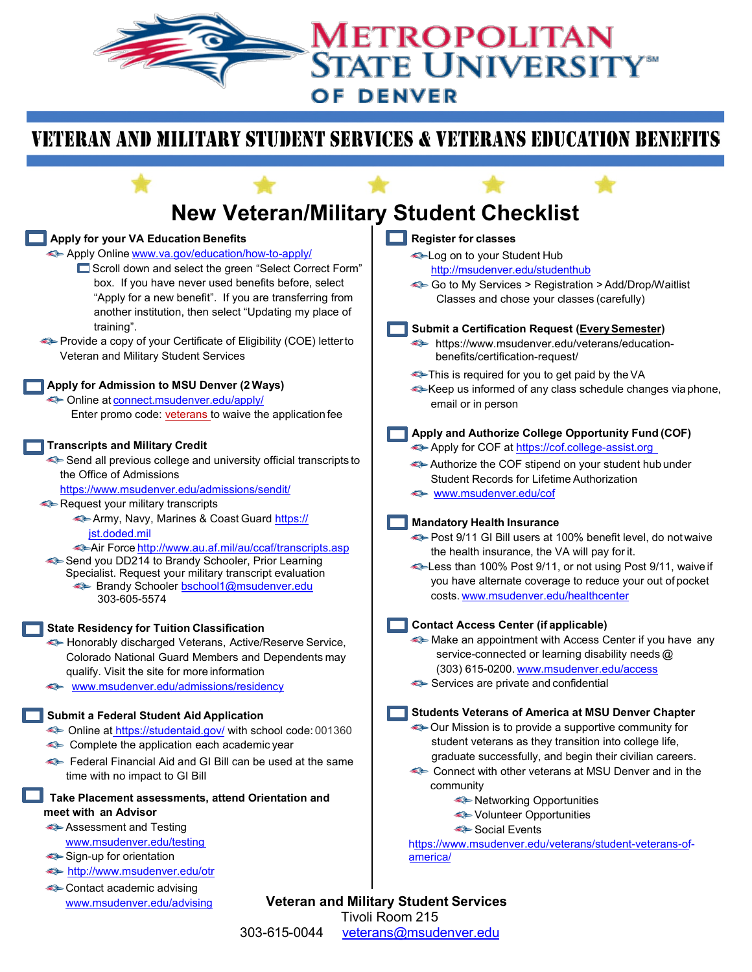## METROPOLITAN **STATE UNIVERSITY® OF DENVER**

## VETERAN AND MILITARY STUDENT SERVICES & VETERANS EDUCATION BENEFITS



303-615-0044 [veterans@msudenver.edu](mailto:veterans@msudenver.edu)